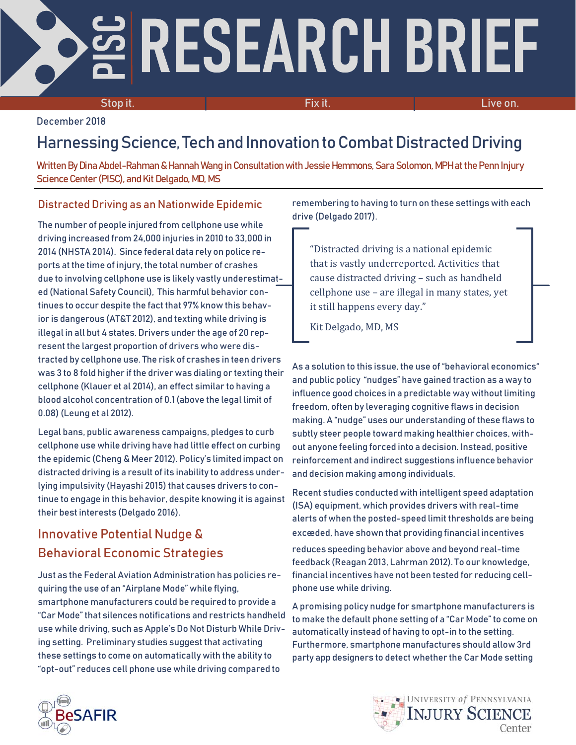# RESEARCH BRIEF

Stop it. The contract of the contract of the Fix it. The contract of the contract of the contract of the contra

December 2018

# Harnessing Science, Tech and Innovation to Combat Distracted Driving

Written By Dina Abdel-Rahman & Hannah Wang in Consultation with Jessie Hemmons, Sara Solomon, MPH at the Penn Injury Science Center (PISC), and Kit Delgado, MD, MS

## Distracted Driving as an Nationwide Epidemic

The number of people injured from cellphone use while driving increased from 24,000 injuries in 2010 to 33,000 in 2014 (NHSTA2014). Since federal data rely on police reports at the time of injury, the total number of crashes due to involving cellphone use is likely vastly underestimated (National Safety Council), This harmful behavior continues to occur despite the fact that 97% know this behavior is dangerous (AT&T 2012), and texting while driving is illegal in all but 4 states. Drivers under the age of 20 represent the largest proportion of drivers who were distracted by cellphone use. The risk of crashes in teen drivers was 3 to 8 fold higher if the driver was dialing or texting their cellphone (Klauer et al 2014), an effect similar to having a blood alcohol concentration of 0.1 (above the legal limit of 0.08) (Leung et al 2012).

Legal bans, public awareness campaigns, pledges to curb cellphone use while driving have had little effect on curbing the epidemic (Cheng & Meer 2012). Policy's limited impact on distracted driving is a result of its inability to address underlying impulsivity (Hayashi 2015) that causes drivers to continue to engage in this behavior, despite knowing it is against their best interests (Delgado 2016).

## Innovative Potential Nudge & Behavioral Economic Strategies

Just as the Federal Aviation Administration has policies requiring the use of an "Airplane Mode" while flying, smartphone manufacturers could be required to provide a "Car Mode" that silences notifications and restricts handheld use while driving, such as Apple's Do Not Disturb While Driving setting. Preliminary studies suggest that activating these settings to come on automatically with the ability to "opt-out" reduces cell phone use while driving compared to

remembering to having to turn on these settings with each drive (Delgado 2017).

"Distracted driving is a national epidemic that is vastly underreported. Activities that cause distracted driving – such as handheld cellphone use – are illegal in many states, yet it still happens every day."

Kit Delgado, MD, MS

As a solution to this issue, the use of "behavioral economics" and public policy "nudges" have gained traction as a way to influence good choices in a predictable way without limiting freedom, often by leveraging cognitive flaws in decision making. A "nudge" uses our understanding of these flaws to subtly steer people toward making healthier choices, without anyone feeling forced into a decision. Instead, positive reinforcement and indirect suggestions influence behavior and decision making among individuals.

Recent studies conducted with intelligent speed adaptation (ISA) equipment, which provides drivers with real-time alerts of when the posted-speed limit thresholds are being exceded, have shown that providing financial incentives

reduces speeding behavior above and beyond real-time feedback (Reagan 2013, Lahrman 2012). To our knowledge, financial incentives have not been tested for reducing cellphone use while driving.

A promising policy nudge for smartphone manufacturers is to make the default phone setting of a "Car Mode" to come on automatically instead of having to opt-in to the setting. Furthermore, smartphone manufactures should allow 3rd party app designers to detect whether the Car Mode setting

> UNIVERSITY of PENNSYLVANIA **INJURY SCIENCE**

> > Center